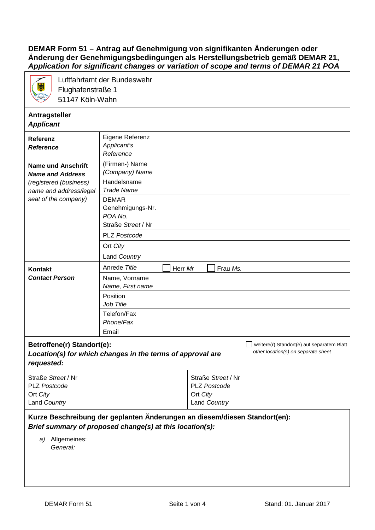#### **DEMAR Form 51 – Antrag auf Genehmigung von signifikanten Änderungen oder Änderung der Genehmigungsbedingungen als Herstellungsbetrieb gemäß DEMAR 21,**  *Application for significant changes or variation of scope and terms of DEMAR 21 POA*



Luftfahrtamt der Bundeswehr Flughafenstraße 1 51147 Köln-Wahn

#### **Antragsteller**  *Applicant*

| Referenz<br><b>Reference</b>                                                                                                     | Eigene Referenz<br>Applicant's<br>Reference |                     |
|----------------------------------------------------------------------------------------------------------------------------------|---------------------------------------------|---------------------|
| <b>Name und Anschrift</b><br><b>Name and Address</b><br>(registered (business)<br>name and address/legal<br>seat of the company) | (Firmen-) Name<br>(Company) Name            |                     |
|                                                                                                                                  | Handelsname<br><b>Trade Name</b>            |                     |
|                                                                                                                                  | <b>DEMAR</b><br>Genehmigungs-Nr.<br>POA No. |                     |
|                                                                                                                                  | Straße Street / Nr                          |                     |
|                                                                                                                                  | PLZ Postcode                                |                     |
|                                                                                                                                  | Ort City                                    |                     |
|                                                                                                                                  | Land Country                                |                     |
| Kontakt<br><b>Contact Person</b>                                                                                                 | Anrede Title                                | Herr Mr<br>Frau Ms. |
|                                                                                                                                  | Name, Vorname<br>Name, First name           |                     |
|                                                                                                                                  | Position<br>Job Title                       |                     |
|                                                                                                                                  | Telefon/Fax<br>Phone/Fax                    |                     |
|                                                                                                                                  | Email                                       |                     |

## **Betroffene(r) Standort(e):** *Location(s) for which changes in the terms of approval are requested:*

weitere(r) Standort(e) auf separatem Blatt *other location(s) on separate sheet*

| Straße Street / Nr | Straße Street / Nr |
|--------------------|--------------------|
| PLZ Postcode       | PLZ Postcode       |
| Ort City           | <b>Ort City</b>    |
| Land Country       | Land Country       |

## **Kurze Beschreibung der geplanten Änderungen an diesem/diesen Standort(en):** *Brief summary of proposed change(s) at this location(s):*

*a)* Allgemeines:

*General:*

 $\overline{1}$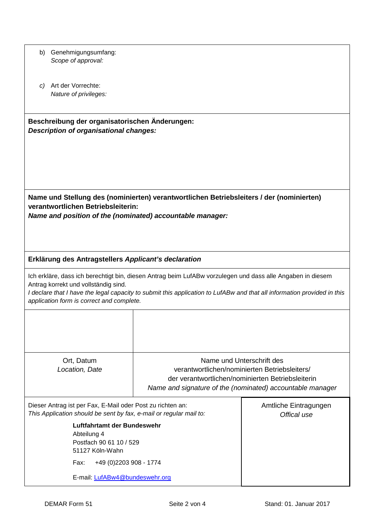| Genehmigungsumfang:<br>b)<br>Scope of approval:                                                                                                                                                                                                                                                                            |                                                                                                                                                                                              |                                      |  |  |
|----------------------------------------------------------------------------------------------------------------------------------------------------------------------------------------------------------------------------------------------------------------------------------------------------------------------------|----------------------------------------------------------------------------------------------------------------------------------------------------------------------------------------------|--------------------------------------|--|--|
| Art der Vorrechte:<br>C)<br>Nature of privileges:                                                                                                                                                                                                                                                                          |                                                                                                                                                                                              |                                      |  |  |
| Beschreibung der organisatorischen Änderungen:<br><b>Description of organisational changes:</b>                                                                                                                                                                                                                            |                                                                                                                                                                                              |                                      |  |  |
| Name und Stellung des (nominierten) verantwortlichen Betriebsleiters / der (nominierten)<br>verantwortlichen Betriebsleiterin:<br>Name and position of the (nominated) accountable manager:                                                                                                                                |                                                                                                                                                                                              |                                      |  |  |
| Erklärung des Antragstellers Applicant's declaration                                                                                                                                                                                                                                                                       |                                                                                                                                                                                              |                                      |  |  |
| Ich erkläre, dass ich berechtigt bin, diesen Antrag beim LufABw vorzulegen und dass alle Angaben in diesem<br>Antrag korrekt und vollständig sind.<br>I declare that I have the legal capacity to submit this application to LufABw and that all information provided in this<br>application form is correct and complete. |                                                                                                                                                                                              |                                      |  |  |
|                                                                                                                                                                                                                                                                                                                            |                                                                                                                                                                                              |                                      |  |  |
| Ort, Datum<br>Location, Date                                                                                                                                                                                                                                                                                               | Name und Unterschrift des<br>verantwortlichen/nominierten Betriebsleiters/<br>der verantwortlichen/nominierten Betriebsleiterin<br>Name and signature of the (nominated) accountable manager |                                      |  |  |
| Dieser Antrag ist per Fax, E-Mail oder Post zu richten an:<br>This Application should be sent by fax, e-mail or regular mail to:                                                                                                                                                                                           |                                                                                                                                                                                              | Amtliche Eintragungen<br>Offical use |  |  |
| Luftfahrtamt der Bundeswehr<br>Abteilung 4<br>Postfach 90 61 10 / 529<br>51127 Köln-Wahn                                                                                                                                                                                                                                   |                                                                                                                                                                                              |                                      |  |  |
| +49 (0) 2203 908 - 1774<br>Fax:                                                                                                                                                                                                                                                                                            |                                                                                                                                                                                              |                                      |  |  |
| E-mail: LufABw4@bundeswehr.org                                                                                                                                                                                                                                                                                             |                                                                                                                                                                                              |                                      |  |  |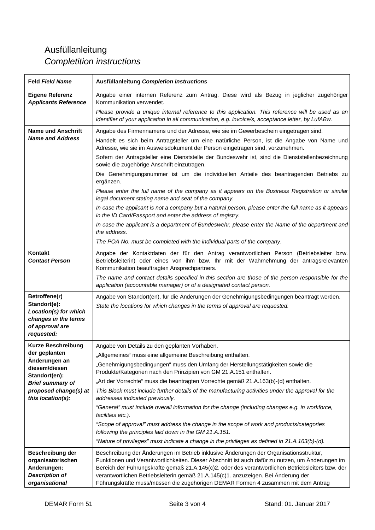# Ausfüllanleitung *Completition instructions*

| <b>Feld Field Name</b>                                                                                                                                                 | Ausfüllanleitung Completion instructions                                                                                                                                                                                                                                                                                                                                                                                                                                                                                                                                                                                                                                                                                                                                                                                                                                                                                                                                                                                                                    |
|------------------------------------------------------------------------------------------------------------------------------------------------------------------------|-------------------------------------------------------------------------------------------------------------------------------------------------------------------------------------------------------------------------------------------------------------------------------------------------------------------------------------------------------------------------------------------------------------------------------------------------------------------------------------------------------------------------------------------------------------------------------------------------------------------------------------------------------------------------------------------------------------------------------------------------------------------------------------------------------------------------------------------------------------------------------------------------------------------------------------------------------------------------------------------------------------------------------------------------------------|
| <b>Eigene Referenz</b><br><b>Applicants Reference</b>                                                                                                                  | Angabe einer internen Referenz zum Antrag. Diese wird als Bezug in jeglicher zugehöriger<br>Kommunikation verwendet.<br>Please provide a unique internal reference to this application. This reference will be used as an<br>identifier of your application in all communication, e.g. invoice/s, acceptance letter, by LufABw.                                                                                                                                                                                                                                                                                                                                                                                                                                                                                                                                                                                                                                                                                                                             |
| <b>Name und Anschrift</b><br><b>Name and Address</b>                                                                                                                   | Angabe des Firmennamens und der Adresse, wie sie im Gewerbeschein eingetragen sind.<br>Handelt es sich beim Antragsteller um eine natürliche Person, ist die Angabe von Name und<br>Adresse, wie sie im Ausweisdokument der Person eingetragen sind, vorzunehmen.<br>Sofern der Antragsteller eine Dienststelle der Bundeswehr ist, sind die Dienststellenbezeichnung<br>sowie die zugehörige Anschrift einzutragen.<br>Die Genehmigungsnummer ist um die individuellen Anteile des beantragenden Betriebs zu<br>ergänzen.<br>Please enter the full name of the company as it appears on the Business Registration or similar<br>legal document stating name and seat of the company.<br>In case the applicant is not a company but a natural person, please enter the full name as it appears<br>in the ID Card/Passport and enter the address of registry.<br>In case the applicant is a department of Bundeswehr, please enter the Name of the department and<br>the address.<br>The POA No. must be completed with the individual parts of the company. |
| Kontakt<br><b>Contact Person</b>                                                                                                                                       | Angabe der Kontaktdaten der für den Antrag verantwortlichen Person (Betriebsleiter bzw.<br>Betriebsleiterin) oder eines von ihm bzw. Ihr mit der Wahrnehmung der antragsrelevanten<br>Kommunikation beauftragten Ansprechpartners.<br>The name and contact details specified in this section are those of the person responsible for the<br>application (accountable manager) or of a designated contact person.                                                                                                                                                                                                                                                                                                                                                                                                                                                                                                                                                                                                                                            |
| Betroffene(r)<br>Standort(e):<br>Location(s) for which<br>changes in the terms<br>of approval are<br>requested:                                                        | Angabe von Standort(en), für die Änderungen der Genehmigungsbedingungen beantragt werden.<br>State the locations for which changes in the terms of approval are requested.                                                                                                                                                                                                                                                                                                                                                                                                                                                                                                                                                                                                                                                                                                                                                                                                                                                                                  |
| <b>Kurze Beschreibung</b><br>der geplanten<br>Anderungen an<br>diesem/diesen<br>Standort(en):<br><b>Brief summary of</b><br>proposed change(s) at<br>this location(s): | Angabe von Details zu den geplanten Vorhaben.<br>Allgemeines" muss eine allgemeine Beschreibung enthalten.<br>"Genehmigungsbedingungen" muss den Umfang der Herstellungstätigkeiten sowie die<br>Produkte/Kategorien nach den Prinzipien von GM 21.A.151 enthalten.<br>"Art der Vorrechte" muss die beantragten Vorrechte gemäß 21.A.163(b)-(d) enthalten.<br>This Block must include further details of the manufacturing activities under the approval for the<br>addresses indicated previously.<br>"General" must include overall information for the change (including changes e.g. in workforce,<br>facilities etc.).<br>"Scope of approval" must address the change in the scope of work and products/categories<br>following the principles laid down in the GM 21.A.151.<br>"Nature of privileges" must indicate a change in the privileges as defined in 21.A.163(b)-(d).                                                                                                                                                                         |
| Beschreibung der<br>organisatorischen<br>Änderungen:<br><b>Description of</b><br>organisational                                                                        | Beschreibung der Änderungen im Betrieb inklusive Änderungen der Organisationsstruktur,<br>Funktionen und Verantwortlichkeiten. Dieser Abschnitt ist auch dafür zu nutzen, um Änderungen im<br>Bereich der Führungskräfte gemäß 21.A.145(c)2. oder des verantwortlichen Betriebsleiters bzw. der<br>verantwortlichen Betriebsleiterin gemäß 21.A.145(c)1. anzuzeigen. Bei Änderung der<br>Führungskräfte muss/müssen die zugehörigen DEMAR Formen 4 zusammen mit dem Antrag                                                                                                                                                                                                                                                                                                                                                                                                                                                                                                                                                                                  |